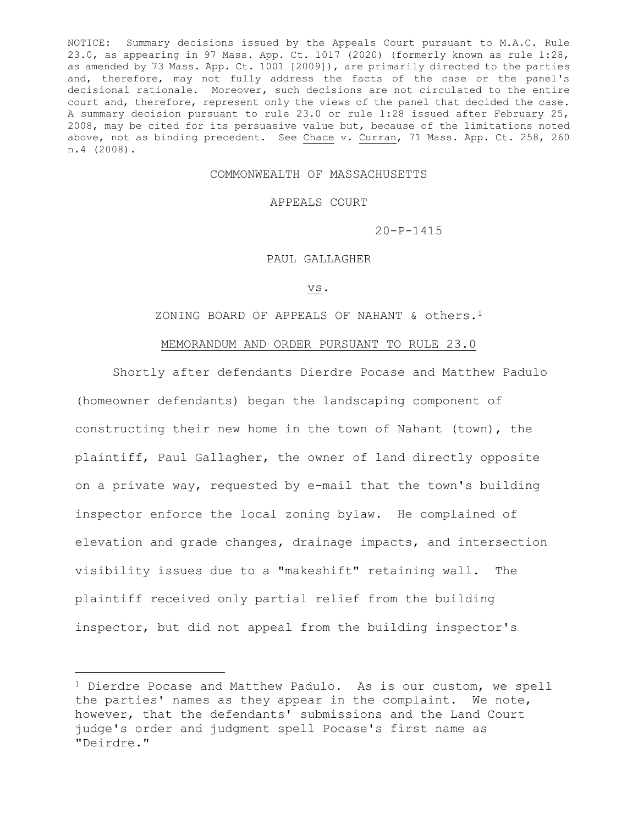NOTICE: Summary decisions issued by the Appeals Court pursuant to M.A.C. Rule 23.0, as appearing in 97 Mass. App. Ct. 1017 (2020) (formerly known as rule 1:28, as amended by 73 Mass. App. Ct. 1001 [2009]), are primarily directed to the parties and, therefore, may not fully address the facts of the case or the panel's decisional rationale. Moreover, such decisions are not circulated to the entire court and, therefore, represent only the views of the panel that decided the case. A summary decision pursuant to rule 23.0 or rule 1:28 issued after February 25, 2008, may be cited for its persuasive value but, because of the limitations noted above, not as binding precedent. See Chace v. Curran, 71 Mass. App. Ct. 258, 260 n.4 (2008).

# COMMONWEALTH OF MASSACHUSETTS

## APPEALS COURT

20-P-1415

## PAUL GALLAGHER

#### vs.

ZONING BOARD OF APPEALS OF NAHANT & others.<sup>1</sup>

## MEMORANDUM AND ORDER PURSUANT TO RULE 23.0

Shortly after defendants Dierdre Pocase and Matthew Padulo (homeowner defendants) began the landscaping component of constructing their new home in the town of Nahant (town), the plaintiff, Paul Gallagher, the owner of land directly opposite on a private way, requested by e-mail that the town's building inspector enforce the local zoning bylaw. He complained of elevation and grade changes, drainage impacts, and intersection visibility issues due to a "makeshift" retaining wall. The plaintiff received only partial relief from the building inspector, but did not appeal from the building inspector's

<sup>&</sup>lt;sup>1</sup> Dierdre Pocase and Matthew Padulo. As is our custom, we spell the parties' names as they appear in the complaint. We note, however, that the defendants' submissions and the Land Court judge's order and judgment spell Pocase's first name as "Deirdre."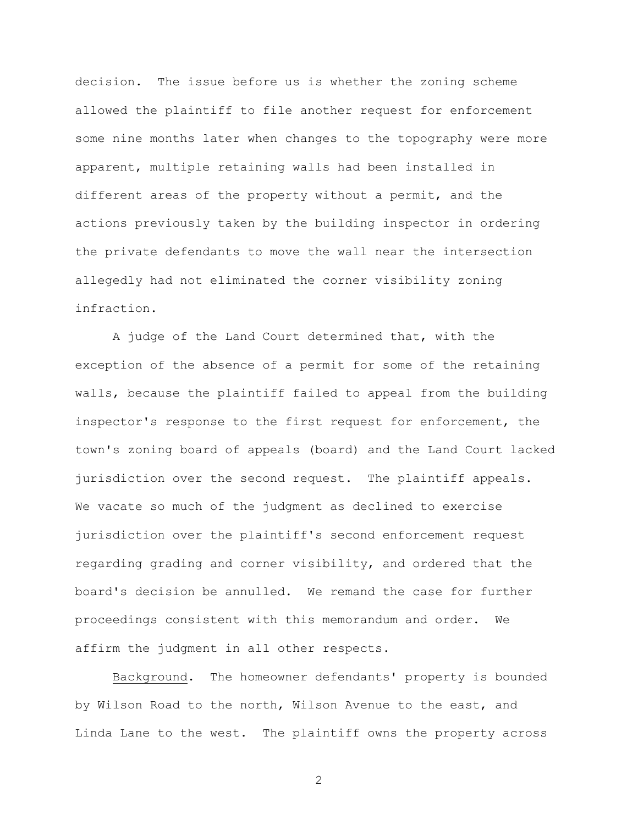decision. The issue before us is whether the zoning scheme allowed the plaintiff to file another request for enforcement some nine months later when changes to the topography were more apparent, multiple retaining walls had been installed in different areas of the property without a permit, and the actions previously taken by the building inspector in ordering the private defendants to move the wall near the intersection allegedly had not eliminated the corner visibility zoning infraction.

A judge of the Land Court determined that, with the exception of the absence of a permit for some of the retaining walls, because the plaintiff failed to appeal from the building inspector's response to the first request for enforcement, the town's zoning board of appeals (board) and the Land Court lacked jurisdiction over the second request. The plaintiff appeals. We vacate so much of the judgment as declined to exercise jurisdiction over the plaintiff's second enforcement request regarding grading and corner visibility, and ordered that the board's decision be annulled. We remand the case for further proceedings consistent with this memorandum and order. We affirm the judgment in all other respects.

Background. The homeowner defendants' property is bounded by Wilson Road to the north, Wilson Avenue to the east, and Linda Lane to the west. The plaintiff owns the property across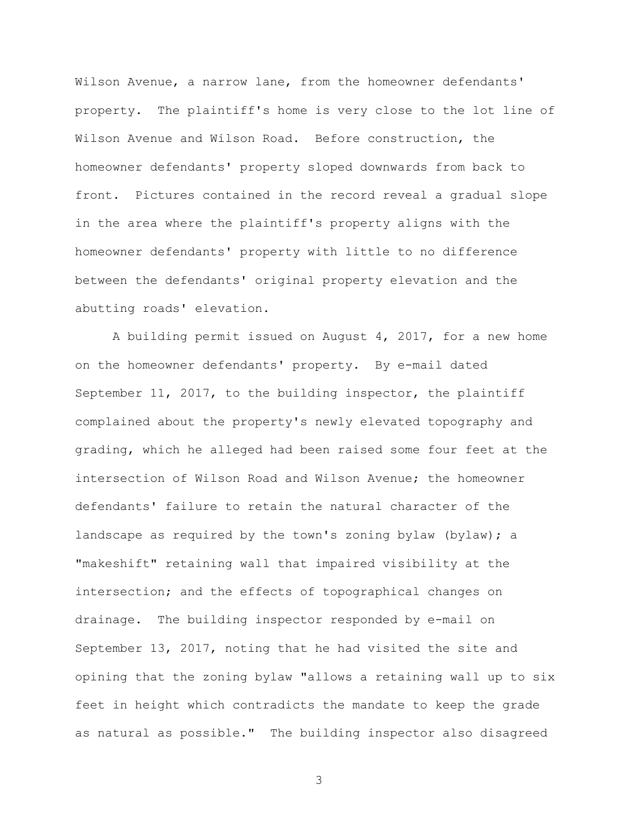Wilson Avenue, a narrow lane, from the homeowner defendants' property. The plaintiff's home is very close to the lot line of Wilson Avenue and Wilson Road. Before construction, the homeowner defendants' property sloped downwards from back to front. Pictures contained in the record reveal a gradual slope in the area where the plaintiff's property aligns with the homeowner defendants' property with little to no difference between the defendants' original property elevation and the abutting roads' elevation.

A building permit issued on August 4, 2017, for a new home on the homeowner defendants' property. By e-mail dated September 11, 2017, to the building inspector, the plaintiff complained about the property's newly elevated topography and grading, which he alleged had been raised some four feet at the intersection of Wilson Road and Wilson Avenue; the homeowner defendants' failure to retain the natural character of the landscape as required by the town's zoning bylaw (bylaw); a "makeshift" retaining wall that impaired visibility at the intersection; and the effects of topographical changes on drainage. The building inspector responded by e-mail on September 13, 2017, noting that he had visited the site and opining that the zoning bylaw "allows a retaining wall up to six feet in height which contradicts the mandate to keep the grade as natural as possible." The building inspector also disagreed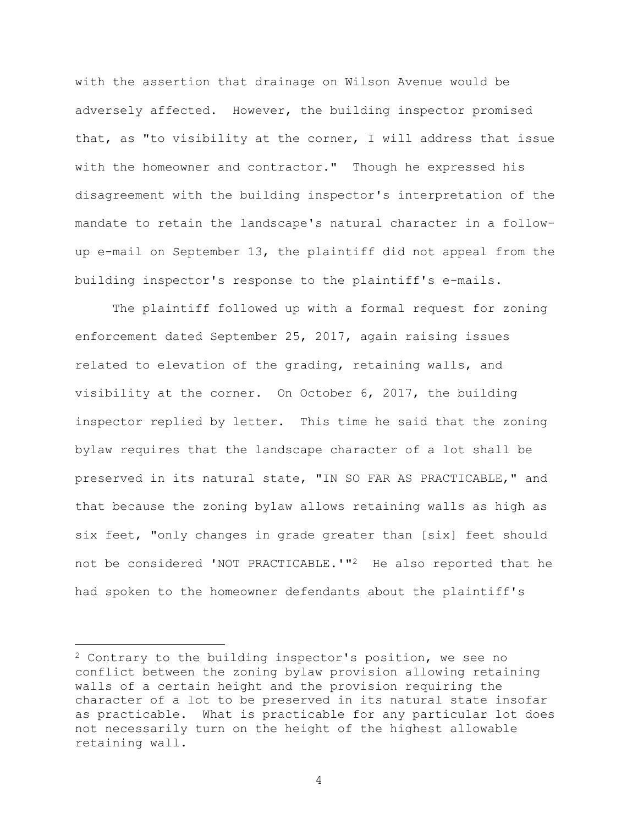with the assertion that drainage on Wilson Avenue would be adversely affected. However, the building inspector promised that, as "to visibility at the corner, I will address that issue with the homeowner and contractor." Though he expressed his disagreement with the building inspector's interpretation of the mandate to retain the landscape's natural character in a followup e-mail on September 13, the plaintiff did not appeal from the building inspector's response to the plaintiff's e-mails.

The plaintiff followed up with a formal request for zoning enforcement dated September 25, 2017, again raising issues related to elevation of the grading, retaining walls, and visibility at the corner. On October 6, 2017, the building inspector replied by letter. This time he said that the zoning bylaw requires that the landscape character of a lot shall be preserved in its natural state, "IN SO FAR AS PRACTICABLE," and that because the zoning bylaw allows retaining walls as high as six feet, "only changes in grade greater than [six] feet should not be considered 'NOT PRACTICABLE.'"2 He also reported that he had spoken to the homeowner defendants about the plaintiff's

<sup>2</sup> Contrary to the building inspector's position, we see no conflict between the zoning bylaw provision allowing retaining walls of a certain height and the provision requiring the character of a lot to be preserved in its natural state insofar as practicable. What is practicable for any particular lot does not necessarily turn on the height of the highest allowable retaining wall.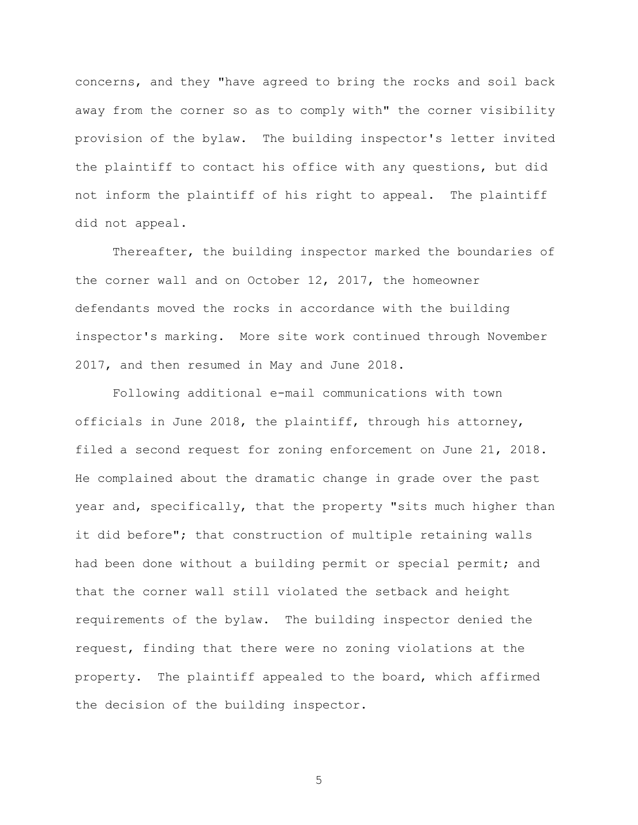concerns, and they "have agreed to bring the rocks and soil back away from the corner so as to comply with" the corner visibility provision of the bylaw. The building inspector's letter invited the plaintiff to contact his office with any questions, but did not inform the plaintiff of his right to appeal. The plaintiff did not appeal.

Thereafter, the building inspector marked the boundaries of the corner wall and on October 12, 2017, the homeowner defendants moved the rocks in accordance with the building inspector's marking. More site work continued through November 2017, and then resumed in May and June 2018.

Following additional e-mail communications with town officials in June 2018, the plaintiff, through his attorney, filed a second request for zoning enforcement on June 21, 2018. He complained about the dramatic change in grade over the past year and, specifically, that the property "sits much higher than it did before"; that construction of multiple retaining walls had been done without a building permit or special permit; and that the corner wall still violated the setback and height requirements of the bylaw. The building inspector denied the request, finding that there were no zoning violations at the property. The plaintiff appealed to the board, which affirmed the decision of the building inspector.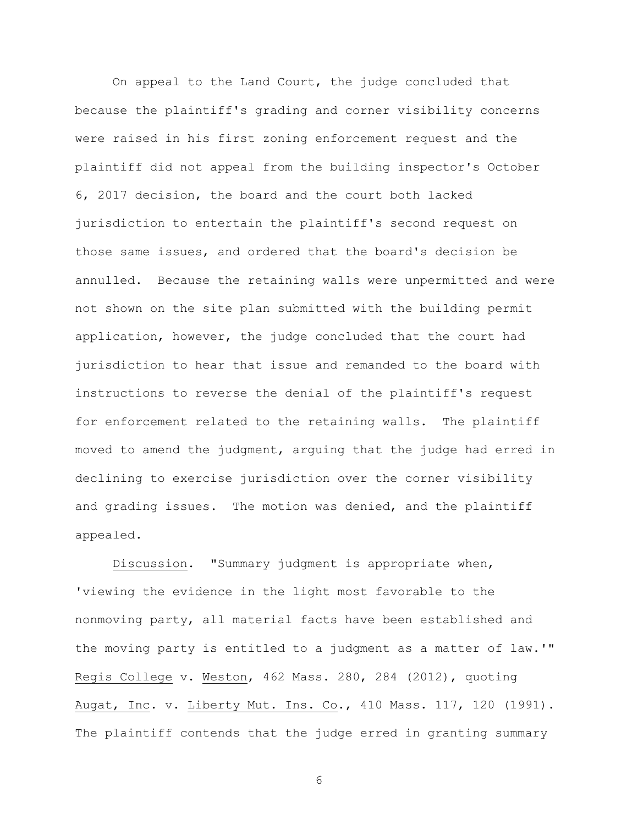On appeal to the Land Court, the judge concluded that because the plaintiff's grading and corner visibility concerns were raised in his first zoning enforcement request and the plaintiff did not appeal from the building inspector's October 6, 2017 decision, the board and the court both lacked jurisdiction to entertain the plaintiff's second request on those same issues, and ordered that the board's decision be annulled. Because the retaining walls were unpermitted and were not shown on the site plan submitted with the building permit application, however, the judge concluded that the court had jurisdiction to hear that issue and remanded to the board with instructions to reverse the denial of the plaintiff's request for enforcement related to the retaining walls. The plaintiff moved to amend the judgment, arguing that the judge had erred in declining to exercise jurisdiction over the corner visibility and grading issues. The motion was denied, and the plaintiff appealed.

Discussion. "Summary judgment is appropriate when, 'viewing the evidence in the light most favorable to the nonmoving party, all material facts have been established and the moving party is entitled to a judgment as a matter of law.'" Regis College v. Weston, 462 Mass. 280, 284 (2012), quoting Augat, Inc. v. Liberty Mut. Ins. Co., 410 Mass. 117, 120 (1991). The plaintiff contends that the judge erred in granting summary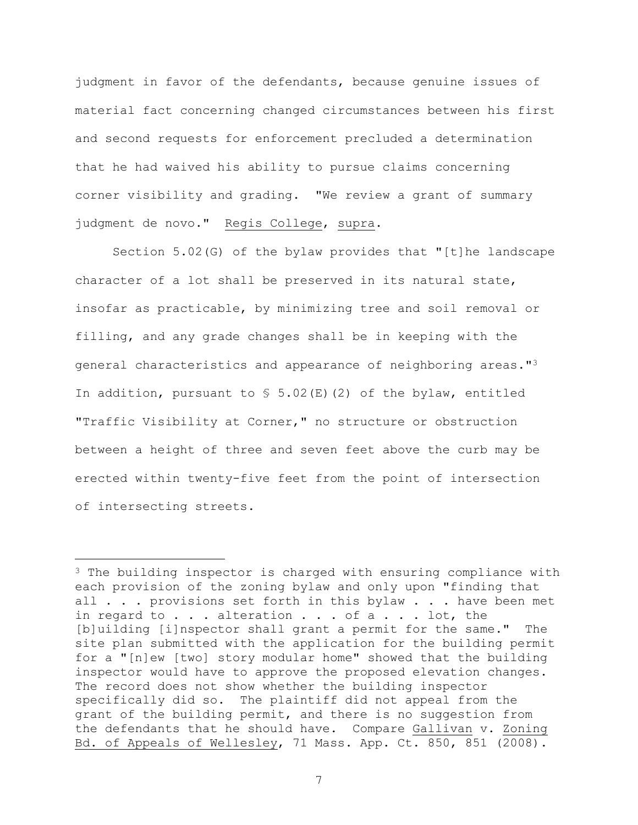judgment in favor of the defendants, because genuine issues of material fact concerning changed circumstances between his first and second requests for enforcement precluded a determination that he had waived his ability to pursue claims concerning corner visibility and grading. "We review a grant of summary judgment de novo." Regis College, supra.

Section 5.02(G) of the bylaw provides that "[t]he landscape character of a lot shall be preserved in its natural state, insofar as practicable, by minimizing tree and soil removal or filling, and any grade changes shall be in keeping with the general characteristics and appearance of neighboring areas."<sup>3</sup> In addition, pursuant to  $\frac{1}{2}$  5.02(E)(2) of the bylaw, entitled "Traffic Visibility at Corner," no structure or obstruction between a height of three and seven feet above the curb may be erected within twenty-five feet from the point of intersection of intersecting streets.

<sup>&</sup>lt;sup>3</sup> The building inspector is charged with ensuring compliance with each provision of the zoning bylaw and only upon "finding that all . . . provisions set forth in this bylaw . . . have been met in regard to . . . alteration . . . of a . . . lot, the [b]uilding [i]nspector shall grant a permit for the same." The site plan submitted with the application for the building permit for a "[n]ew [two] story modular home" showed that the building inspector would have to approve the proposed elevation changes. The record does not show whether the building inspector specifically did so. The plaintiff did not appeal from the grant of the building permit, and there is no suggestion from the defendants that he should have. Compare Gallivan v. Zoning Bd. of Appeals of Wellesley, 71 Mass. App. Ct. 850, 851 (2008).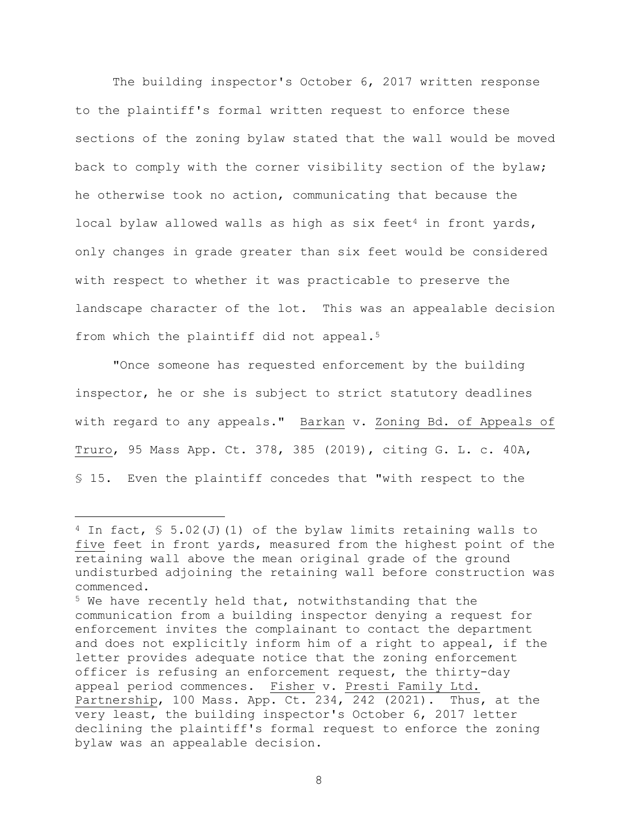The building inspector's October 6, 2017 written response to the plaintiff's formal written request to enforce these sections of the zoning bylaw stated that the wall would be moved back to comply with the corner visibility section of the bylaw; he otherwise took no action, communicating that because the local bylaw allowed walls as high as six feet<sup>4</sup> in front yards, only changes in grade greater than six feet would be considered with respect to whether it was practicable to preserve the landscape character of the lot. This was an appealable decision from which the plaintiff did not appeal.<sup>5</sup>

"Once someone has requested enforcement by the building inspector, he or she is subject to strict statutory deadlines with regard to any appeals." Barkan v. Zoning Bd. of Appeals of Truro, 95 Mass App. Ct. 378, 385 (2019), citing G. L. c. 40A, § 15. Even the plaintiff concedes that "with respect to the

<sup>&</sup>lt;sup>4</sup> In fact, § 5.02(J)(1) of the bylaw limits retaining walls to five feet in front yards, measured from the highest point of the retaining wall above the mean original grade of the ground undisturbed adjoining the retaining wall before construction was commenced.

<sup>5</sup> We have recently held that, notwithstanding that the communication from a building inspector denying a request for enforcement invites the complainant to contact the department and does not explicitly inform him of a right to appeal, if the letter provides adequate notice that the zoning enforcement officer is refusing an enforcement request, the thirty-day appeal period commences. Fisher v. Presti Family Ltd. Partnership, 100 Mass. App. Ct. 234, 242 (2021). Thus, at the very least, the building inspector's October 6, 2017 letter declining the plaintiff's formal request to enforce the zoning bylaw was an appealable decision.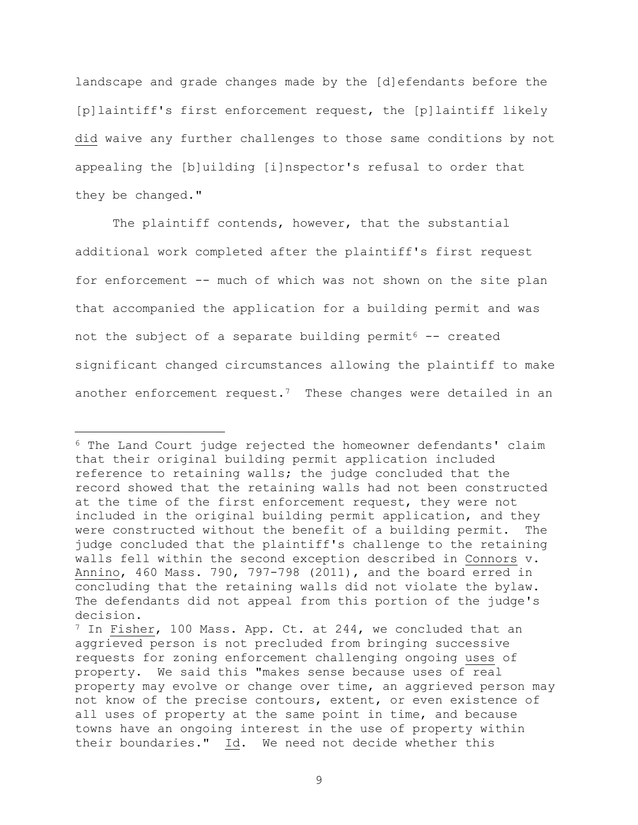landscape and grade changes made by the [d]efendants before the [p]laintiff's first enforcement request, the [p]laintiff likely did waive any further challenges to those same conditions by not appealing the [b]uilding [i]nspector's refusal to order that they be changed."

The plaintiff contends, however, that the substantial additional work completed after the plaintiff's first request for enforcement -- much of which was not shown on the site plan that accompanied the application for a building permit and was not the subject of a separate building permit<sup>6</sup>  $-$  created significant changed circumstances allowing the plaintiff to make another enforcement request.<sup>7</sup> These changes were detailed in an

<sup>6</sup> The Land Court judge rejected the homeowner defendants' claim that their original building permit application included reference to retaining walls; the judge concluded that the record showed that the retaining walls had not been constructed at the time of the first enforcement request, they were not included in the original building permit application, and they were constructed without the benefit of a building permit. The judge concluded that the plaintiff's challenge to the retaining walls fell within the second exception described in Connors v. Annino, 460 Mass. 790, 797-798 (2011), and the board erred in concluding that the retaining walls did not violate the bylaw. The defendants did not appeal from this portion of the judge's decision.

 $7$  In Fisher, 100 Mass. App. Ct. at 244, we concluded that an aggrieved person is not precluded from bringing successive requests for zoning enforcement challenging ongoing uses of property. We said this "makes sense because uses of real property may evolve or change over time, an aggrieved person may not know of the precise contours, extent, or even existence of all uses of property at the same point in time, and because towns have an ongoing interest in the use of property within their boundaries." Id. We need not decide whether this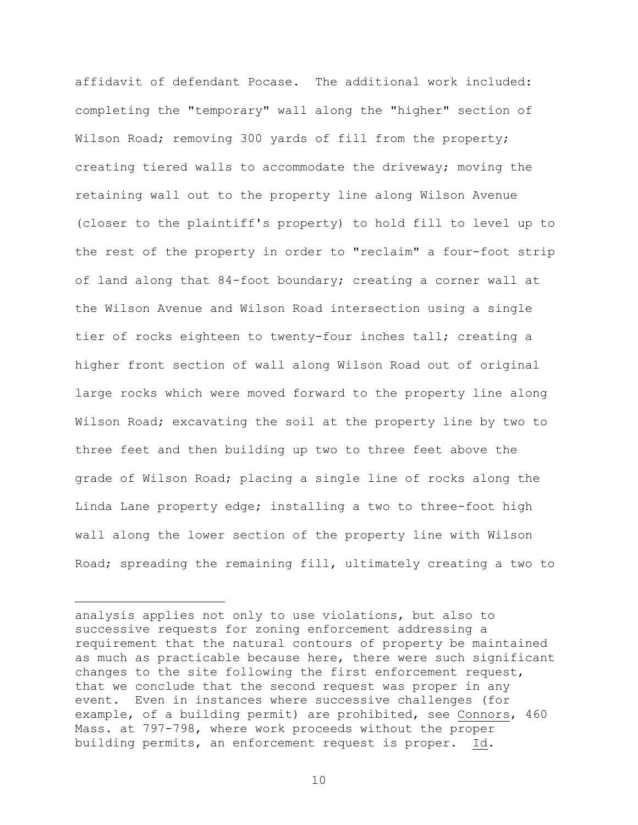affidavit of defendant Pocase. The additional work included: completing the "temporary" wall along the "higher" section of Wilson Road; removing 300 yards of fill from the property; creating tiered walls to accommodate the driveway; moving the retaining wall out to the property line along Wilson Avenue (closer to the plaintiff's property) to hold fill to level up to the rest of the property in order to "reclaim" a four-foot strip of land along that 84-foot boundary; creating a corner wall at the Wilson Avenue and Wilson Road intersection using a single tier of rocks eighteen to twenty-four inches tall; creating a higher front section of wall along Wilson Road out of original large rocks which were moved forward to the property line along Wilson Road; excavating the soil at the property line by two to three feet and then building up two to three feet above the grade of Wilson Road; placing a single line of rocks along the Linda Lane property edge; installing a two to three-foot high wall along the lower section of the property line with Wilson Road; spreading the remaining fill, ultimately creating a two to

analysis applies not only to use violations, but also to successive requests for zoning enforcement addressing a requirement that the natural contours of property be maintained as much as practicable because here, there were such significant changes to the site following the first enforcement request, that we conclude that the second request was proper in any event. Even in instances where successive challenges (for example, of a building permit) are prohibited, see Connors, 460 Mass. at 797-798, where work proceeds without the proper building permits, an enforcement request is proper. Id.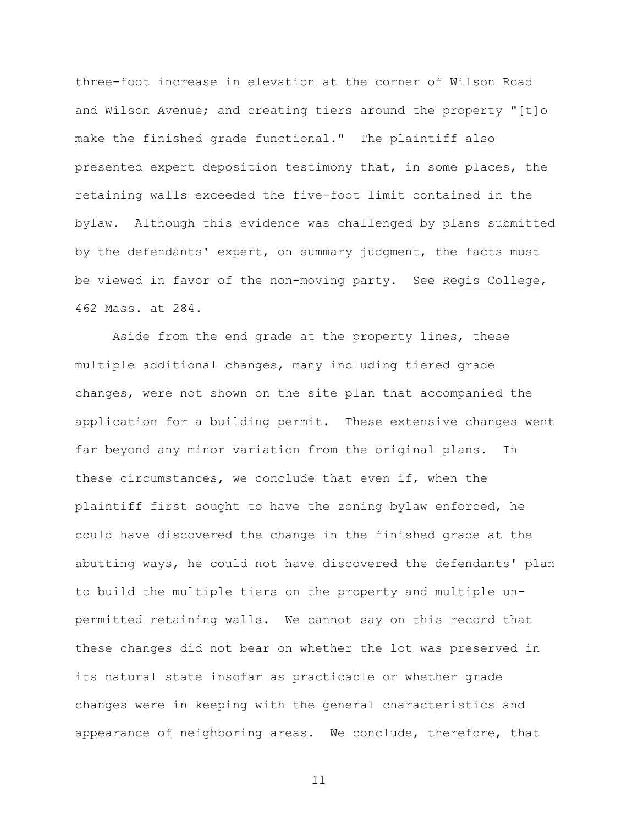three-foot increase in elevation at the corner of Wilson Road and Wilson Avenue; and creating tiers around the property "[t]o make the finished grade functional." The plaintiff also presented expert deposition testimony that, in some places, the retaining walls exceeded the five-foot limit contained in the bylaw. Although this evidence was challenged by plans submitted by the defendants' expert, on summary judgment, the facts must be viewed in favor of the non-moving party. See Regis College, 462 Mass. at 284.

Aside from the end grade at the property lines, these multiple additional changes, many including tiered grade changes, were not shown on the site plan that accompanied the application for a building permit. These extensive changes went far beyond any minor variation from the original plans. In these circumstances, we conclude that even if, when the plaintiff first sought to have the zoning bylaw enforced, he could have discovered the change in the finished grade at the abutting ways, he could not have discovered the defendants' plan to build the multiple tiers on the property and multiple unpermitted retaining walls. We cannot say on this record that these changes did not bear on whether the lot was preserved in its natural state insofar as practicable or whether grade changes were in keeping with the general characteristics and appearance of neighboring areas. We conclude, therefore, that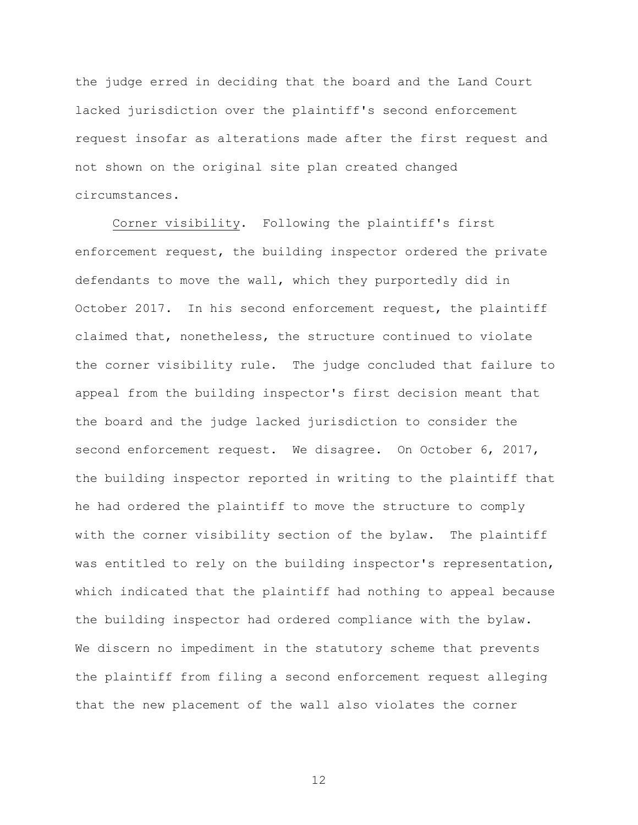the judge erred in deciding that the board and the Land Court lacked jurisdiction over the plaintiff's second enforcement request insofar as alterations made after the first request and not shown on the original site plan created changed circumstances.

Corner visibility. Following the plaintiff's first enforcement request, the building inspector ordered the private defendants to move the wall, which they purportedly did in October 2017. In his second enforcement request, the plaintiff claimed that, nonetheless, the structure continued to violate the corner visibility rule. The judge concluded that failure to appeal from the building inspector's first decision meant that the board and the judge lacked jurisdiction to consider the second enforcement request. We disagree. On October 6, 2017, the building inspector reported in writing to the plaintiff that he had ordered the plaintiff to move the structure to comply with the corner visibility section of the bylaw. The plaintiff was entitled to rely on the building inspector's representation, which indicated that the plaintiff had nothing to appeal because the building inspector had ordered compliance with the bylaw. We discern no impediment in the statutory scheme that prevents the plaintiff from filing a second enforcement request alleging that the new placement of the wall also violates the corner